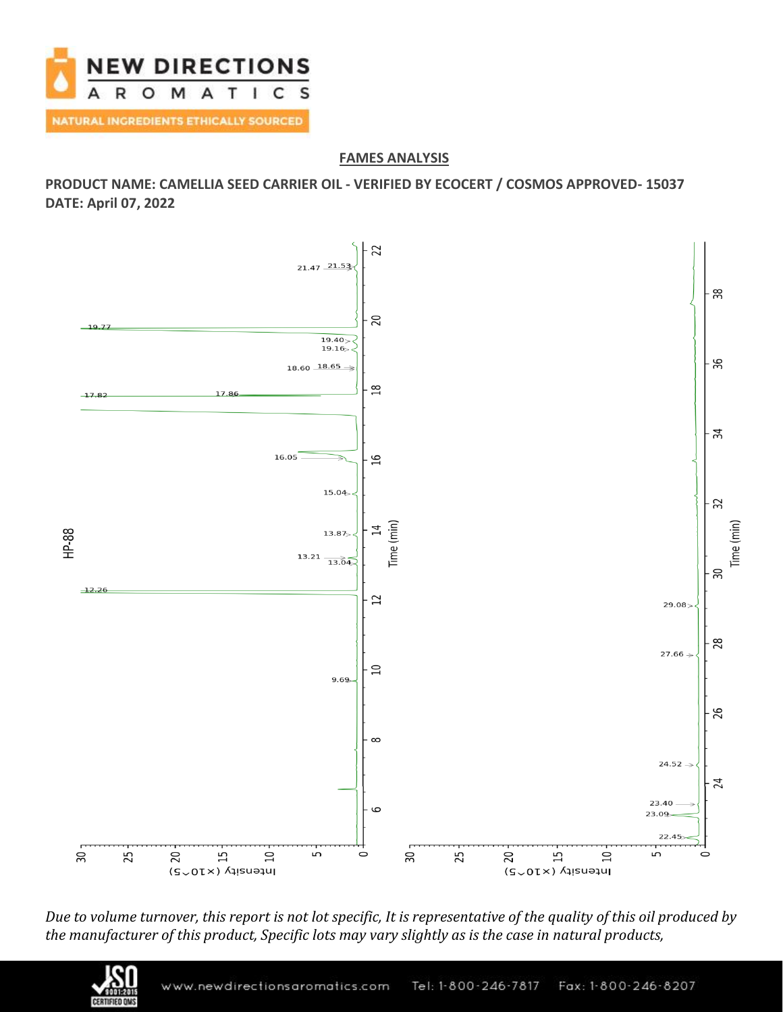

## **FAMES ANALYSIS**

**PRODUCT NAME: CAMELLIA SEED CARRIER OIL - VERIFIED BY ECOCERT / COSMOS APPROVED- 15037 DATE: April 07, 2022**



*Due to volume turnover, this report is not lot specific, It is representative of the quality of this oil produced by the manufacturer of this product, Specific lots may vary slightly as is the case in natural products,*